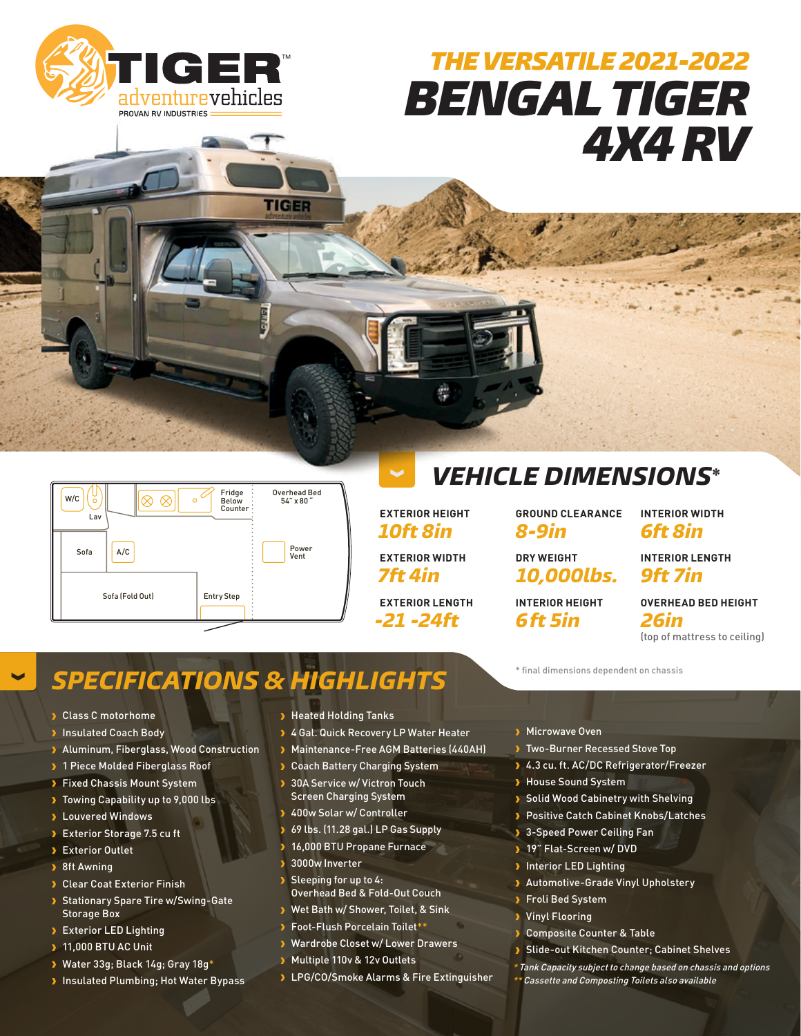

# *THE VERSATILE 2021-2022 BENGAL TIGER 4X4 RV*



**EXTERIOR HEIGHT** *10ft 8in* **EXTERIOR WIDTH** *7ft 4in* **EXTERIOR LENGTH** *-21 -24ft*

罍

**GROUND CLEARANCE**

*VEHICLE DIMENSIONS\**

*8-9in* **DRY WEIGHT**

*10,000lbs.* **INTERIOR HEIGHT**

*6ft 5in*

**INTERIOR WIDTH** *6ft 8in*

**INTERIOR LENGTH** *9ft 7in*

**OVERHEAD BED HEIGHT** *26in* (top of mattress to ceiling)

## **SPECIFICATIONS & HIGHLIGHTS**

**TIGER** 

- Class C motorhome
- **Insulated Coach Body**
- Aluminum, Fiberglass, Wood Construction
- > 1 Piece Molded Fiberglass Roof
- **> Fixed Chassis Mount System**
- Towing Capability up to 9,000 lbs
- **>** Louvered Windows
- Exterior Storage 7.5 cu ft
- Exterior Outlet
- > 8ft Awning
- **> Clear Coat Exterior Finish**
- Stationary Spare Tire w/Swing-Gate Storage Box
- **Exterior LED Lighting**
- **11,000 BTU AC Unit**
- Water 33g; Black 14g; Gray 18g\*
- **Insulated Plumbing; Hot Water Bypass**
- > Heated Holding Tanks
- **3 4 Gal. Quick Recovery LP Water Heater**
- Maintenance-Free AGM Batteries (440AH)
- **> Coach Battery Charging System**
- 30A Service w/ Victron Touch Screen Charging System
- 400w Solar w/ Controller
- 69 lbs. (11.28 gal.) LP Gas Supply
- 16,000 BTU Propane Furnace
- 3000w Inverter
- Sleeping for up to 4: Overhead Bed & Fold-Out Couch
- Wet Bath w/ Shower, Toilet, & Sink
- Foot-Flush Porcelain Toilet\*\*
- Wardrobe Closet w/ Lower Drawers
- Multiple 110v & 12v Outlets
- **D** LPG/CO/Smoke Alarms & Fire Extinguisher
- **Microwave Oven**
- **Two-Burner Recessed Stove Top**
- 4.3 cu. ft. AC/DC Refrigerator/Freezer
- **House Sound System**
- Solid Wood Cabinetry with Shelving
- **Positive Catch Cabinet Knobs/Latches**
- **3-Speed Power Ceiling Fan**
- 19" Flat-Screen w/ DVD
- **Interior LED Lighting**
- **>** Automotive-Grade Vinyl Upholstery
- Froli Bed System
- Vinyl Flooring
- **> Composite Counter & Table**
- **Slide-out Kitchen Counter; Cabinet Shelves**
- \* Tank Capacity subject to change based on chassis and options \*\* Cassette and Composting Toilets also available